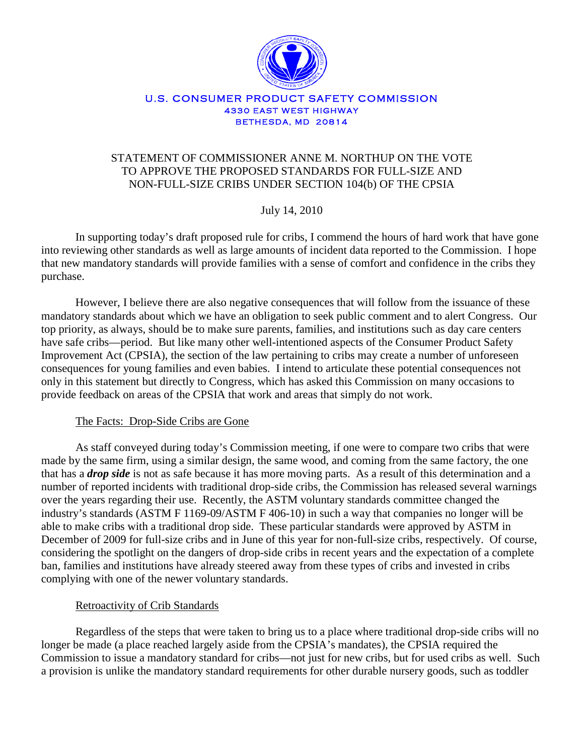

#### U.S. CONSUMER PRODUCT SAFETY COMMISSION 4330 EAST WEST HIGHWAY BETHESDA, MD 20814

# STATEMENT OF COMMISSIONER ANNE M. NORTHUP ON THE VOTE TO APPROVE THE PROPOSED STANDARDS FOR FULL-SIZE AND NON-FULL-SIZE CRIBS UNDER SECTION 104(b) OF THE CPSIA

July 14, 2010

In supporting today's draft proposed rule for cribs, I commend the hours of hard work that have gone into reviewing other standards as well as large amounts of incident data reported to the Commission. I hope that new mandatory standards will provide families with a sense of comfort and confidence in the cribs they purchase.

However, I believe there are also negative consequences that will follow from the issuance of these mandatory standards about which we have an obligation to seek public comment and to alert Congress. Our top priority, as always, should be to make sure parents, families, and institutions such as day care centers have safe cribs—period. But like many other well-intentioned aspects of the Consumer Product Safety Improvement Act (CPSIA), the section of the law pertaining to cribs may create a number of unforeseen consequences for young families and even babies. I intend to articulate these potential consequences not only in this statement but directly to Congress, which has asked this Commission on many occasions to provide feedback on areas of the CPSIA that work and areas that simply do not work.

The Facts: Drop-Side Cribs are Gone

As staff conveyed during today's Commission meeting, if one were to compare two cribs that were made by the same firm, using a similar design, the same wood, and coming from the same factory, the one that has a *drop side* is not as safe because it has more moving parts. As a result of this determination and a number of reported incidents with traditional drop-side cribs, the Commission has released several warnings over the years regarding their use. Recently, the ASTM voluntary standards committee changed the industry's standards (ASTM F 1169-09/ASTM F 406-10) in such a way that companies no longer will be able to make cribs with a traditional drop side. These particular standards were approved by ASTM in December of 2009 for full-size cribs and in June of this year for non-full-size cribs, respectively. Of course, considering the spotlight on the dangers of drop-side cribs in recent years and the expectation of a complete ban, families and institutions have already steered away from these types of cribs and invested in cribs complying with one of the newer voluntary standards.

## Retroactivity of Crib Standards

Regardless of the steps that were taken to bring us to a place where traditional drop-side cribs will no longer be made (a place reached largely aside from the CPSIA's mandates), the CPSIA required the Commission to issue a mandatory standard for cribs—not just for new cribs, but for used cribs as well. Such a provision is unlike the mandatory standard requirements for other durable nursery goods, such as toddler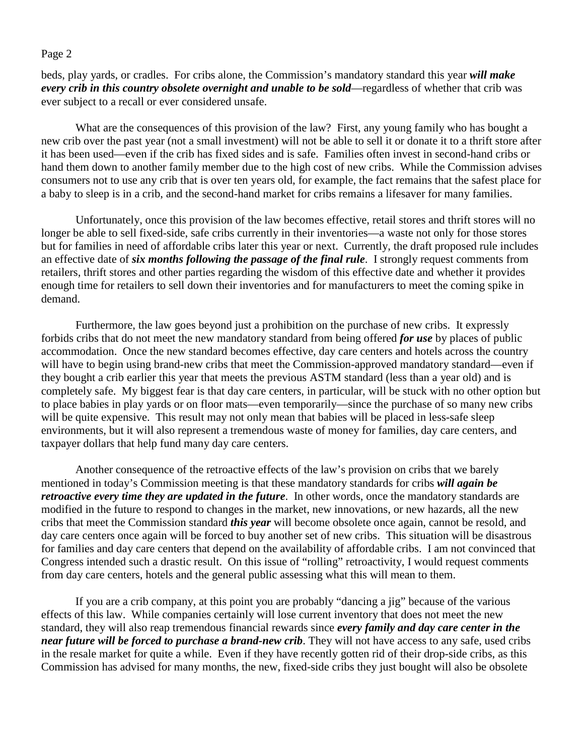#### Page 2

beds, play yards, or cradles. For cribs alone, the Commission's mandatory standard this year *will make every crib in this country obsolete overnight and unable to be sold—regardless of whether that crib was* ever subject to a recall or ever considered unsafe.

What are the consequences of this provision of the law? First, any young family who has bought a new crib over the past year (not a small investment) will not be able to sell it or donate it to a thrift store after it has been used—even if the crib has fixed sides and is safe. Families often invest in second-hand cribs or hand them down to another family member due to the high cost of new cribs. While the Commission advises consumers not to use any crib that is over ten years old, for example, the fact remains that the safest place for a baby to sleep is in a crib, and the second-hand market for cribs remains a lifesaver for many families.

Unfortunately, once this provision of the law becomes effective, retail stores and thrift stores will no longer be able to sell fixed-side, safe cribs currently in their inventories—a waste not only for those stores but for families in need of affordable cribs later this year or next. Currently, the draft proposed rule includes an effective date of *six months following the passage of the final rule*. I strongly request comments from retailers, thrift stores and other parties regarding the wisdom of this effective date and whether it provides enough time for retailers to sell down their inventories and for manufacturers to meet the coming spike in demand.

Furthermore, the law goes beyond just a prohibition on the purchase of new cribs. It expressly forbids cribs that do not meet the new mandatory standard from being offered *for use* by places of public accommodation. Once the new standard becomes effective, day care centers and hotels across the country will have to begin using brand-new cribs that meet the Commission-approved mandatory standard—even if they bought a crib earlier this year that meets the previous ASTM standard (less than a year old) and is completely safe. My biggest fear is that day care centers, in particular, will be stuck with no other option but to place babies in play yards or on floor mats—even temporarily—since the purchase of so many new cribs will be quite expensive. This result may not only mean that babies will be placed in less-safe sleep environments, but it will also represent a tremendous waste of money for families, day care centers, and taxpayer dollars that help fund many day care centers.

Another consequence of the retroactive effects of the law's provision on cribs that we barely mentioned in today's Commission meeting is that these mandatory standards for cribs *will again be retroactive every time they are updated in the future*. In other words, once the mandatory standards are modified in the future to respond to changes in the market, new innovations, or new hazards, all the new cribs that meet the Commission standard *this year* will become obsolete once again, cannot be resold, and day care centers once again will be forced to buy another set of new cribs. This situation will be disastrous for families and day care centers that depend on the availability of affordable cribs. I am not convinced that Congress intended such a drastic result. On this issue of "rolling" retroactivity, I would request comments from day care centers, hotels and the general public assessing what this will mean to them.

If you are a crib company, at this point you are probably "dancing a jig" because of the various effects of this law. While companies certainly will lose current inventory that does not meet the new standard, they will also reap tremendous financial rewards since *every family and day care center in the near future will be forced to purchase a brand-new crib*. They will not have access to any safe, used cribs in the resale market for quite a while. Even if they have recently gotten rid of their drop-side cribs, as this Commission has advised for many months, the new, fixed-side cribs they just bought will also be obsolete